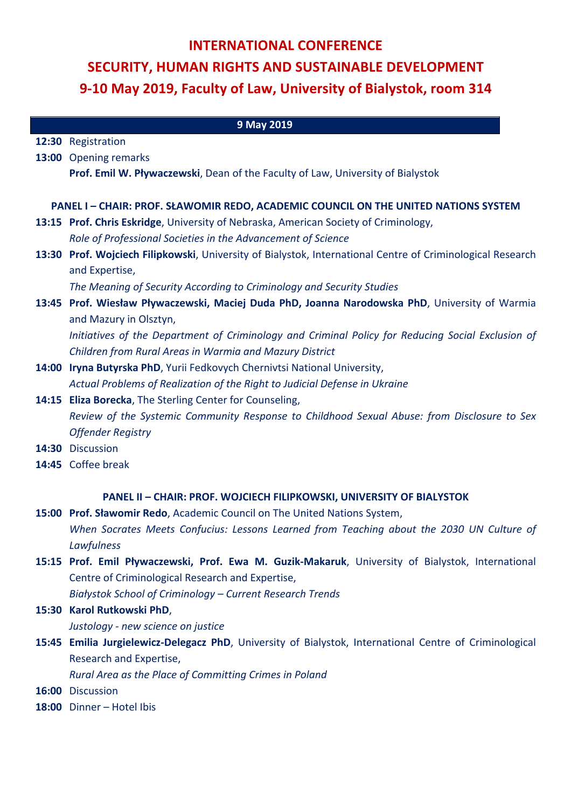## **INTERNATIONAL CONFERENCE SECURITY, HUMAN RIGHTS AND SUSTAINABLE DEVELOPMENT 9-10 May 2019, Faculty of Law, University of Bialystok, room 314**

| 9 May 2019                                                                                 |                                                                                                                         |
|--------------------------------------------------------------------------------------------|-------------------------------------------------------------------------------------------------------------------------|
|                                                                                            | 12:30 Registration                                                                                                      |
|                                                                                            | 13:00 Opening remarks                                                                                                   |
|                                                                                            | Prof. Emil W. Pływaczewski, Dean of the Faculty of Law, University of Bialystok                                         |
|                                                                                            |                                                                                                                         |
| <b>PANEL I - CHAIR: PROF. SŁAWOMIR REDO, ACADEMIC COUNCIL ON THE UNITED NATIONS SYSTEM</b> |                                                                                                                         |
|                                                                                            | 13:15 Prof. Chris Eskridge, University of Nebraska, American Society of Criminology,                                    |
|                                                                                            | Role of Professional Societies in the Advancement of Science                                                            |
|                                                                                            | 13:30 Prof. Wojciech Filipkowski, University of Bialystok, International Centre of Criminological Research              |
|                                                                                            | and Expertise,                                                                                                          |
|                                                                                            | The Meaning of Security According to Criminology and Security Studies                                                   |
|                                                                                            | 13:45 Prof. Wiesław Pływaczewski, Maciej Duda PhD, Joanna Narodowska PhD, University of Warmia                          |
|                                                                                            | and Mazury in Olsztyn,                                                                                                  |
|                                                                                            | Initiatives of the Department of Criminology and Criminal Policy for Reducing Social Exclusion of                       |
|                                                                                            | Children from Rural Areas in Warmia and Mazury District                                                                 |
|                                                                                            | 14:00 Iryna Butyrska PhD, Yurii Fedkovych Chernivtsi National University,                                               |
|                                                                                            | Actual Problems of Realization of the Right to Judicial Defense in Ukraine                                              |
|                                                                                            | 14:15 Eliza Borecka, The Sterling Center for Counseling,                                                                |
|                                                                                            | Review of the Systemic Community Response to Childhood Sexual Abuse: from Disclosure to Sex<br><b>Offender Registry</b> |
|                                                                                            | 14:30 Discussion                                                                                                        |
|                                                                                            | 14:45 Coffee break                                                                                                      |
|                                                                                            |                                                                                                                         |
| PANEL II - CHAIR: PROF. WOJCIECH FILIPKOWSKI, UNIVERSITY OF BIALYSTOK                      |                                                                                                                         |
|                                                                                            | 15:00 Prof. Sławomir Redo, Academic Council on The United Nations System,                                               |
|                                                                                            | When Socrates Meets Confucius: Lessons Learned from Teaching about the 2030 UN Culture of                               |
|                                                                                            | Lawfulness                                                                                                              |
|                                                                                            | 15:15 Prof. Emil Pływaczewski, Prof. Ewa M. Guzik-Makaruk, University of Bialystok, International                       |
|                                                                                            | Centre of Criminological Research and Expertise,                                                                        |
|                                                                                            | Białystok School of Criminology - Current Research Trends                                                               |
|                                                                                            | 15:30 Karol Rutkowski PhD,                                                                                              |
|                                                                                            | Justology - new science on justice                                                                                      |

**15:45 Emilia Jurgielewicz-Delegacz PhD**, University of Bialystok, International Centre of Criminological Research and Expertise,

*Rural Area as the Place of Committing Crimes in Poland*

- **16:00** Discussion
- 18:00 Dinner Hotel Ibis